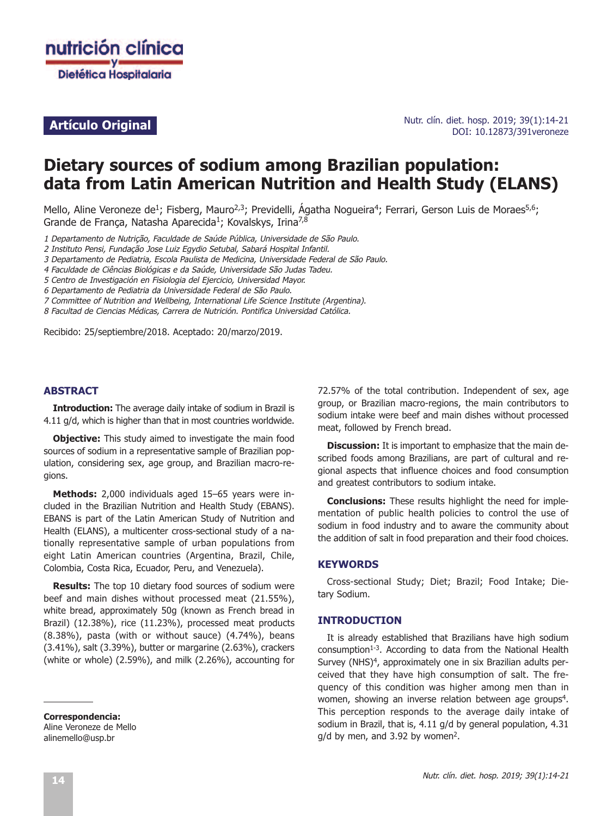

## **Artículo Original**

Nutr. clín. diet. hosp. 2019; 39(1):14-21 DOI: 10.12873/391veroneze

# **Dietary sources of sodium among Brazilian population: data from Latin American Nutrition and Health Study (ELANS)**

Mello, Aline Veroneze de<sup>1</sup>; Fisberg, Mauro<sup>2,3</sup>; Previdelli, Ágatha Nogueira<sup>4</sup>; Ferrari, Gerson Luis de Moraes<sup>5,6</sup>; Grande de França, Natasha Aparecida<sup>1</sup>; Kovalskys, Irina<sup>7,8</sup>

1 Departamento de Nutrição, Faculdade de Saúde Pública, Universidade de São Paulo.

2 Instituto Pensi, Fundação Jose Luiz Egydio Setubal, Sabará Hospital Infantil.

3 Departamento de Pediatria, Escola Paulista de Medicina, Universidade Federal de São Paulo.

4 Faculdade de Ciências Biológicas <sup>e</sup> da Saúde, Universidade São Judas Tadeu.

5 Centro de Investigación en Fisiologia del Ejercicio, Universidad Mayor.

6 Departamento de Pediatria da Universidade Federal de São Paulo.

7 Committee of Nutrition and Wellbeing, International Life Science Institute (Argentina).

8 Facultad de Ciencias Médicas, Carrera de Nutrición. Pontifica Universidad Católica.

Recibido: 25/septiembre/2018. Aceptado: 20/marzo/2019.

#### **ABSTRACT**

**Introduction:** The average daily intake of sodium in Brazil is 4.11 g/d, which is higher than that in most countries worldwide.

**Objective:** This study aimed to investigate the main food sources of sodium in a representative sample of Brazilian population, considering sex, age group, and Brazilian macro-regions.

**Methods:** 2,000 individuals aged 15–65 years were included in the Brazilian Nutrition and Health Study (EBANS). EBANS is part of the Latin American Study of Nutrition and Health (ELANS), a multicenter cross-sectional study of a nationally representative sample of urban populations from eight Latin American countries (Argentina, Brazil, Chile, Colombia, Costa Rica, Ecuador, Peru, and Venezuela).

**Results:** The top 10 dietary food sources of sodium were beef and main dishes without processed meat (21.55%), white bread, approximately 50g (known as French bread in Brazil) (12.38%), rice (11.23%), processed meat products (8.38%), pasta (with or without sauce) (4.74%), beans (3.41%), salt (3.39%), butter or margarine (2.63%), crackers (white or whole) (2.59%), and milk (2.26%), accounting for

**Correspondencia:** Aline Veroneze de Mello alinemello@usp.br

72.57% of the total contribution. Independent of sex, age group, or Brazilian macro-regions, the main contributors to sodium intake were beef and main dishes without processed meat, followed by French bread.

**Discussion:** It is important to emphasize that the main described foods among Brazilians, are part of cultural and regional aspects that influence choices and food consumption and greatest contributors to sodium intake.

**Conclusions:** These results highlight the need for implementation of public health policies to control the use of sodium in food industry and to aware the community about the addition of salt in food preparation and their food choices.

#### **KEYWORDS**

Cross-sectional Study; Diet; Brazil; Food Intake; Dietary Sodium.

## **INTRODUCTION**

It is already established that Brazilians have high sodium  $\mu$ consumption<sup>1-3</sup>. According to data from the National Health Survey (NHS) $4$ , approximately one in six Brazilian adults perceived that they have high consumption of salt. The frequency of this condition was higher among men than in women, showing an inverse relation between age groups<sup>4</sup>. This perception responds to the average daily intake of sodium in Brazil, that is, 4.11 g/d by general population, 4.31  $q/d$  by men, and 3.92 by women<sup>2</sup>.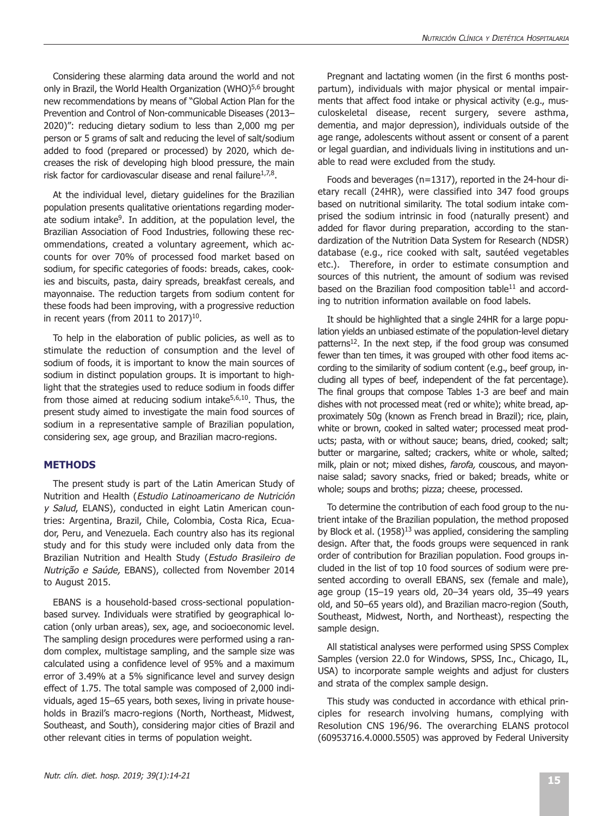Considering these alarming data around the world and not only in Brazil, the World Health Organization (WHO)<sup>5,6</sup> brought new recommendations by means of "Global Action Plan for the Prevention and Control of Non-communicable Diseases (2013– 2020)": reducing dietary sodium to less than 2,000 mg per person or 5 grams of salt and reducing the level of salt/sodium added to food (prepared or processed) by 2020, which decreases the risk of developing high blood pressure, the main risk factor for cardiovascular disease and renal failure $1.7,8$ .

At the individual level, dietary guidelines for the Brazilian population presents qualitative orientations regarding moderate sodium intake<sup>9</sup>. In addition, at the population level, the Brazilian Association of Food Industries, following these recommendations, created a voluntary agreement, which accounts for over 70% of processed food market based on sodium, for specific categories of foods: breads, cakes, cookies and biscuits, pasta, dairy spreads, breakfast cereals, and mayonnaise. The reduction targets from sodium content for these foods had been improving, with a progressive reduction in recent years (from 2011 to  $2017)^{10}$ .

To help in the elaboration of public policies, as well as to stimulate the reduction of consumption and the level of sodium of foods, it is important to know the main sources of sodium in distinct population groups. It is important to highlight that the strategies used to reduce sodium in foods differ from those aimed at reducing sodium intake $5,6,10$ . Thus, the present study aimed to investigate the main food sources of sodium in a representative sample of Brazilian population, considering sex, age group, and Brazilian macro-regions.

## **METHODS**

The present study is part of the Latin American Study of Nutrition and Health (Estudio Latinoamericano de Nutrición y Salud, ELANS), conducted in eight Latin American countries: Argentina, Brazil, Chile, Colombia, Costa Rica, Ecuador, Peru, and Venezuela. Each country also has its regional study and for this study were included only data from the Brazilian Nutrition and Health Study (Estudo Brasileiro de Nutrição <sup>e</sup> Saúde, EBANS), collected from November 2014 to August 2015.

EBANS is a household-based cross-sectional populationbased survey. Individuals were stratified by geographical location (only urban areas), sex, age, and socioeconomic level. The sampling design procedures were performed using a random complex, multistage sampling, and the sample size was calculated using a confidence level of 95% and a maximum error of 3.49% at a 5% significance level and survey design effect of 1.75. The total sample was composed of 2,000 individuals, aged 15–65 years, both sexes, living in private households in Brazil's macro-regions (North, Northeast, Midwest, Southeast, and South), considering major cities of Brazil and other relevant cities in terms of population weight.

Pregnant and lactating women (in the first 6 months postpartum), individuals with major physical or mental impairments that affect food intake or physical activity (e.g., musculoskeletal disease, recent surgery, severe asthma, dementia, and major depression), individuals outside of the age range, adolescents without assent or consent of a parent or legal guardian, and individuals living in institutions and unable to read were excluded from the study.

Foods and beverages (n=1317), reported in the 24-hour dietary recall (24HR), were classified into 347 food groups based on nutritional similarity. The total sodium intake comprised the sodium intrinsic in food (naturally present) and added for flavor during preparation, according to the standardization of the Nutrition Data System for Research (NDSR) database (e.g., rice cooked with salt, sautéed vegetables etc.). Therefore, in order to estimate consumption and sources of this nutrient, the amount of sodium was revised based on the Brazilian food composition table $11$  and according to nutrition information available on food labels.

It should be highlighted that a single 24HR for a large population yields an unbiased estimate of the population-level dietary patterns<sup>12</sup>. In the next step, if the food group was consumed fewer than ten times, it was grouped with other food items according to the similarity of sodium content (e.g., beef group, including all types of beef, independent of the fat percentage). The final groups that compose Tables 1-3 are beef and main dishes with not processed meat (red or white); white bread, approximately 50g (known as French bread in Brazil); rice, plain, white or brown, cooked in salted water; processed meat products; pasta, with or without sauce; beans, dried, cooked; salt; butter or margarine, salted; crackers, white or whole, salted; milk, plain or not; mixed dishes, *farofa*, couscous, and mayonnaise salad; savory snacks, fried or baked; breads, white or whole; soups and broths; pizza; cheese, processed.

To determine the contribution of each food group to the nutrient intake of the Brazilian population, the method proposed by Block et al.  $(1958)^{13}$  was applied, considering the sampling design. After that, the foods groups were sequenced in rank order of contribution for Brazilian population. Food groups included in the list of top 10 food sources of sodium were presented according to overall EBANS, sex (female and male), age group (15–19 years old, 20–34 years old, 35–49 years old, and 50–65 years old), and Brazilian macro-region (South, Southeast, Midwest, North, and Northeast), respecting the sample design.

All statistical analyses were performed using SPSS Complex Samples (version 22.0 for Windows, SPSS, Inc., Chicago, IL, USA) to incorporate sample weights and adjust for clusters and strata of the complex sample design.

This study was conducted in accordance with ethical principles for research involving humans, complying with Resolution CNS 196/96. The overarching ELANS protocol (60953716.4.0000.5505) was approved by Federal University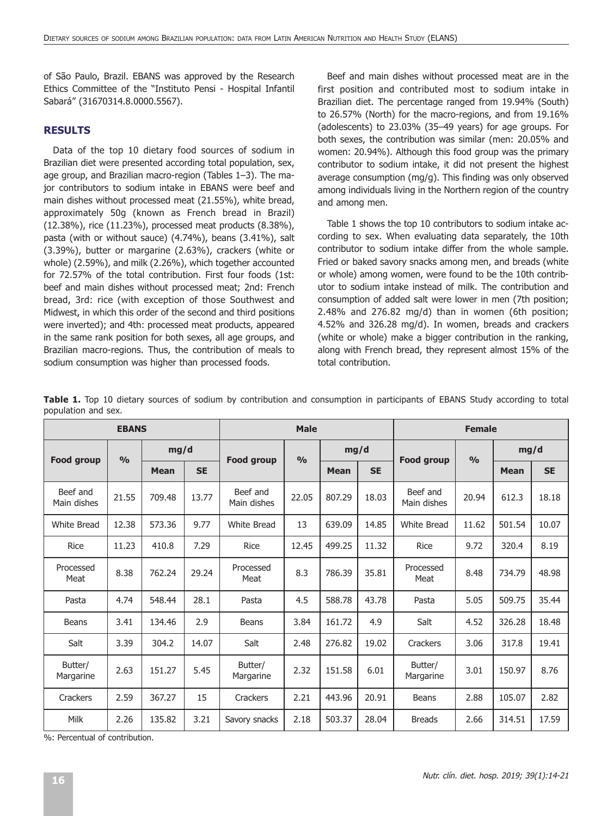of São Paulo, Brazil. EBANS was approved by the Research Ethics Committee of the "Instituto Pensi - Hospital Infantil Sabará" (31670314.8.0000.5567).

## **RESULTS**

Data of the top 10 dietary food sources of sodium in Brazilian diet were presented according total population, sex, age group, and Brazilian macro-region (Tables 1–3). The major contributors to sodium intake in EBANS were beef and main dishes without processed meat (21.55%), white bread, approximately 50g (known as French bread in Brazil) (12.38%), rice (11.23%), processed meat products (8.38%), pasta (with or without sauce) (4.74%), beans (3.41%), salt (3.39%), butter or margarine (2.63%), crackers (white or whole) (2.59%), and milk (2.26%), which together accounted for 72.57% of the total contribution. First four foods (1st: beef and main dishes without processed meat; 2nd: French bread, 3rd: rice (with exception of those Southwest and Midwest, in which this order of the second and third positions were inverted); and 4th: processed meat products, appeared in the same rank position for both sexes, all age groups, and Brazilian macro-regions. Thus, the contribution of meals to sodium consumption was higher than processed foods.

Beef and main dishes without processed meat are in the first position and contributed most to sodium intake in Brazilian diet. The percentage ranged from 19.94% (South) to 26.57% (North) for the macro-regions, and from 19.16% (adolescents) to 23.03% (35–49 years) for age groups. For both sexes, the contribution was similar (men: 20.05% and women: 20.94%). Although this food group was the primary contributor to sodium intake, it did not present the highest average consumption (mg/g). This finding was only observed among individuals living in the Northern region of the country and among men.

Table 1 shows the top 10 contributors to sodium intake according to sex. When evaluating data separately, the 10th contributor to sodium intake differ from the whole sample. Fried or baked savory snacks among men, and breads (white or whole) among women, were found to be the 10th contributor to sodium intake instead of milk. The contribution and consumption of added salt were lower in men (7th position; 2.48% and 276.82 mg/d) than in women (6th position; 4.52% and 326.28 mg/d). In women, breads and crackers (white or whole) make a bigger contribution in the ranking, along with French bread, they represent almost 15% of the total contribution.

|                         | <b>EBANS</b>  |             |           |                         | <b>Male</b>   |             |           | <b>Female</b>           |               |             |           |
|-------------------------|---------------|-------------|-----------|-------------------------|---------------|-------------|-----------|-------------------------|---------------|-------------|-----------|
|                         | $\frac{0}{0}$ | mg/d        |           |                         | $\frac{0}{0}$ | mg/d        |           |                         | $\frac{0}{0}$ | mg/d        |           |
| Food group              |               | <b>Mean</b> | <b>SE</b> | <b>Food group</b>       |               | <b>Mean</b> | <b>SE</b> | Food group              |               | <b>Mean</b> | <b>SE</b> |
| Beef and<br>Main dishes | 21.55         | 709.48      | 13.77     | Beef and<br>Main dishes | 22.05         | 807.29      | 18.03     | Beef and<br>Main dishes | 20.94         | 612.3       | 18.18     |
| White Bread             | 12.38         | 573.36      | 9.77      | White Bread             | 13            | 639.09      | 14.85     | White Bread             | 11.62         | 501.54      | 10.07     |
| <b>Rice</b>             | 11.23         | 410.8       | 7.29      | <b>Rice</b>             | 12.45         | 499.25      | 11.32     | <b>Rice</b>             | 9.72          | 320.4       | 8.19      |
| Processed<br>Meat       | 8.38          | 762.24      | 29.24     | Processed<br>Meat       | 8.3           | 786.39      | 35.81     | Processed<br>Meat       | 8.48          | 734.79      | 48.98     |
| Pasta                   | 4.74          | 548.44      | 28.1      | Pasta                   | 4.5           | 588.78      | 43.78     | Pasta                   | 5.05          | 509.75      | 35.44     |
| Beans                   | 3.41          | 134.46      | 2.9       | <b>Beans</b>            | 3.84          | 161.72      | 4.9       | Salt                    | 4.52          | 326.28      | 18.48     |
| Salt                    | 3.39          | 304.2       | 14.07     | Salt                    | 2.48          | 276.82      | 19.02     | Crackers                | 3.06          | 317.8       | 19.41     |
| Butter/<br>Margarine    | 2.63          | 151.27      | 5.45      | Butter/<br>Margarine    | 2.32          | 151.58      | 6.01      | Butter/<br>Margarine    | 3.01          | 150.97      | 8.76      |
| Crackers                | 2.59          | 367.27      | 15        | Crackers                | 2.21          | 443.96      | 20.91     | Beans                   | 2.88          | 105.07      | 2.82      |
| Milk                    | 2.26          | 135.82      | 3.21      | Savory snacks           | 2.18          | 503.37      | 28.04     | <b>Breads</b>           | 2.66          | 314.51      | 17.59     |

**Table 1.** Top 10 dietary sources of sodium by contribution and consumption in participants of EBANS Study according to total population and sex.

%: Percentual of contribution.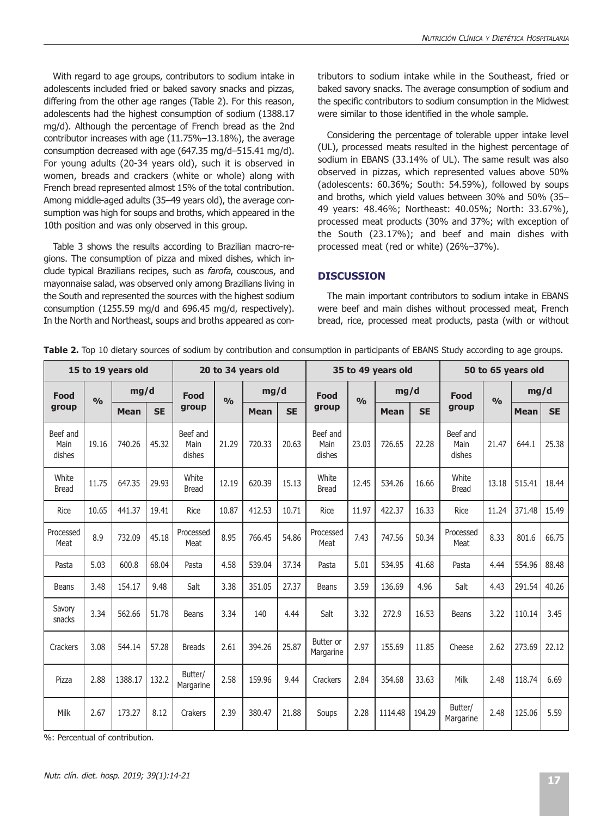With regard to age groups, contributors to sodium intake in adolescents included fried or baked savory snacks and pizzas, differing from the other age ranges (Table 2). For this reason, adolescents had the highest consumption of sodium (1388.17 mg/d). Although the percentage of French bread as the 2nd contributor increases with age (11.75%–13.18%), the average consumption decreased with age (647.35 mg/d–515.41 mg/d). For young adults (20-34 years old), such it is observed in women, breads and crackers (white or whole) along with French bread represented almost 15% of the total contribution. Among middle-aged adults (35–49 years old), the average consumption was high for soups and broths, which appeared in the 10th position and was only observed in this group.

Table 3 shows the results according to Brazilian macro-regions. The consumption of pizza and mixed dishes, which include typical Brazilians recipes, such as farofa, couscous, and mayonnaise salad, was observed only among Brazilians living in the South and represented the sources with the highest sodium consumption (1255.59 mg/d and 696.45 mg/d, respectively). In the North and Northeast, soups and broths appeared as contributors to sodium intake while in the Southeast, fried or baked savory snacks. The average consumption of sodium and the specific contributors to sodium consumption in the Midwest were similar to those identified in the whole sample.

Considering the percentage of tolerable upper intake level (UL), processed meats resulted in the highest percentage of sodium in EBANS (33.14% of UL). The same result was also observed in pizzas, which represented values above 50% (adolescents: 60.36%; South: 54.59%), followed by soups and broths, which yield values between 30% and 50% (35– 49 years: 48.46%; Northeast: 40.05%; North: 33.67%), processed meat products (30% and 37%; with exception of the South (23.17%); and beef and main dishes with processed meat (red or white) (26%–37%).

## **DISCUSSION**

The main important contributors to sodium intake in EBANS were beef and main dishes without processed meat, French bread, rice, processed meat products, pasta (with or without

| 15 to 19 years old         |       |             |           |                            |                | 20 to 34 years old |           | 35 to 49 years old         |       |             |           |                            | 50 to 65 years old |             |           |  |
|----------------------------|-------|-------------|-----------|----------------------------|----------------|--------------------|-----------|----------------------------|-------|-------------|-----------|----------------------------|--------------------|-------------|-----------|--|
| Food                       | 0/n   | mg/d        |           | <b>Food</b>                | O <sub>0</sub> | mg/d               |           | Food                       | 0/n   | mg/d        |           | Food                       | O <sub>0</sub>     | mg/d        |           |  |
| group                      |       | <b>Mean</b> | <b>SE</b> | group                      |                | <b>Mean</b>        | <b>SE</b> | group                      |       | <b>Mean</b> | <b>SE</b> | group                      |                    | <b>Mean</b> | <b>SE</b> |  |
| Beef and<br>Main<br>dishes | 19.16 | 740.26      | 45.32     | Beef and<br>Main<br>dishes | 21.29          | 720.33             | 20.63     | Beef and<br>Main<br>dishes | 23.03 | 726.65      | 22.28     | Beef and<br>Main<br>dishes | 21.47              | 644.1       | 25.38     |  |
| White<br><b>Bread</b>      | 11.75 | 647.35      | 29.93     | White<br><b>Bread</b>      | 12.19          | 620.39             | 15.13     | White<br><b>Bread</b>      | 12.45 | 534.26      | 16.66     | White<br><b>Bread</b>      | 13.18              | 515.41      | 18.44     |  |
| Rice                       | 10.65 | 441.37      | 19.41     | Rice                       | 10.87          | 412.53             | 10.71     | Rice                       | 11.97 | 422.37      | 16.33     | Rice                       | 11.24              | 371.48      | 15.49     |  |
| Processed<br>Meat          | 8.9   | 732.09      | 45.18     | Processed<br>Meat          | 8.95           | 766.45             | 54.86     | Processed<br>Meat          | 7.43  | 747.56      | 50.34     | Processed<br>Meat          | 8.33               | 801.6       | 66.75     |  |
| Pasta                      | 5.03  | 600.8       | 68.04     | Pasta                      | 4.58           | 539.04             | 37.34     | Pasta                      | 5.01  | 534.95      | 41.68     | Pasta                      | 4.44               | 554.96      | 88.48     |  |
| Beans                      | 3.48  | 154.17      | 9.48      | Salt                       | 3.38           | 351.05             | 27.37     | Beans                      | 3.59  | 136.69      | 4.96      | Salt                       | 4.43               | 291.54      | 40.26     |  |
| Savory<br>snacks           | 3.34  | 562.66      | 51.78     | Beans                      | 3.34           | 140                | 4.44      | Salt                       | 3.32  | 272.9       | 16.53     | Beans                      | 3.22               | 110.14      | 3.45      |  |
| Crackers                   | 3.08  | 544.14      | 57.28     | <b>Breads</b>              | 2.61           | 394.26             | 25.87     | Butter or<br>Margarine     | 2.97  | 155.69      | 11.85     | Cheese                     | 2.62               | 273.69      | 22.12     |  |
| Pizza                      | 2.88  | 1388.17     | 132.2     | Butter/<br>Margarine       | 2.58           | 159.96             | 9.44      | Crackers                   | 2.84  | 354.68      | 33.63     | Milk                       | 2.48               | 118.74      | 6.69      |  |
| Milk                       | 2.67  | 173.27      | 8.12      | Crakers                    | 2.39           | 380.47             | 21.88     | Soups                      | 2.28  | 1114.48     | 194.29    | Butter/<br>Margarine       | 2.48               | 125.06      | 5.59      |  |

**Table 2.** Top 10 dietary sources of sodium by contribution and consumption in participants of EBANS Study according to age groups.

%: Percentual of contribution.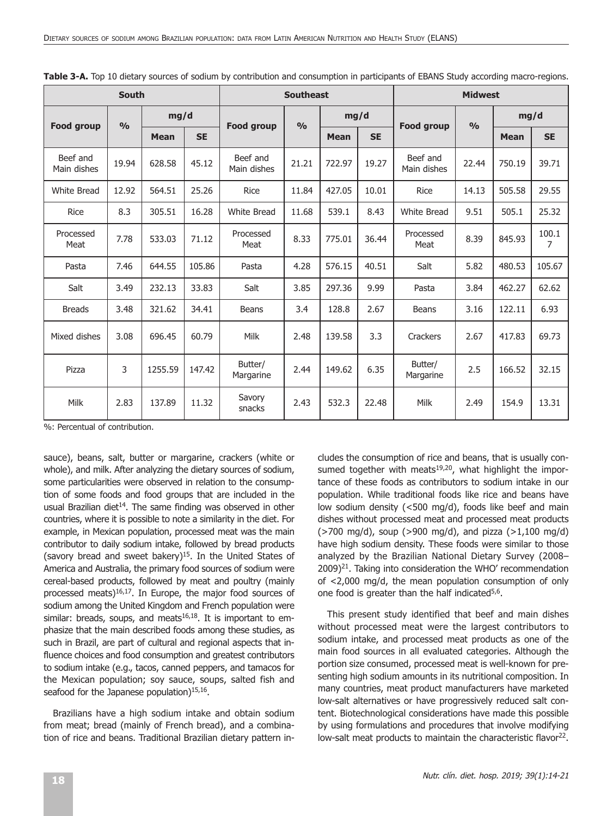| <b>South</b>            |       |             |           | <b>Southeast</b>        |       |             |           | <b>Midwest</b>          |       |             |            |  |
|-------------------------|-------|-------------|-----------|-------------------------|-------|-------------|-----------|-------------------------|-------|-------------|------------|--|
|                         | O/O   | mg/d        |           |                         | O/O   | mg/d        |           |                         | O/O   | mg/d        |            |  |
| Food group              |       | <b>Mean</b> | <b>SE</b> | <b>Food group</b>       |       | <b>Mean</b> | <b>SE</b> | Food group              |       | <b>Mean</b> | <b>SE</b>  |  |
| Beef and<br>Main dishes | 19.94 | 628.58      | 45.12     | Beef and<br>Main dishes | 21.21 | 722.97      | 19.27     | Beef and<br>Main dishes | 22.44 | 750.19      | 39.71      |  |
| <b>White Bread</b>      | 12.92 | 564.51      | 25.26     | Rice                    | 11.84 | 427.05      | 10.01     | <b>Rice</b>             | 14.13 | 505.58      | 29.55      |  |
| <b>Rice</b>             | 8.3   | 305.51      | 16.28     | <b>White Bread</b>      | 11.68 | 539.1       | 8.43      | <b>White Bread</b>      | 9.51  | 505.1       | 25.32      |  |
| Processed<br>Meat       | 7.78  | 533.03      | 71.12     | Processed<br>Meat       | 8.33  | 775.01      | 36.44     | Processed<br>Meat       | 8.39  | 845.93      | 100.1<br>7 |  |
| Pasta                   | 7.46  | 644.55      | 105.86    | Pasta                   | 4.28  | 576.15      | 40.51     | Salt                    | 5.82  | 480.53      | 105.67     |  |
| Salt                    | 3.49  | 232.13      | 33.83     | Salt                    | 3.85  | 297.36      | 9.99      | Pasta                   | 3.84  | 462.27      | 62.62      |  |
| <b>Breads</b>           | 3.48  | 321.62      | 34.41     | <b>Beans</b>            | 3.4   | 128.8       | 2.67      | Beans                   | 3.16  | 122.11      | 6.93       |  |
| Mixed dishes            | 3.08  | 696.45      | 60.79     | Milk                    | 2.48  | 139.58      | 3.3       | Crackers                | 2.67  | 417.83      | 69.73      |  |
| Pizza                   | 3     | 1255.59     | 147.42    | Butter/<br>Margarine    | 2.44  | 149.62      | 6.35      | Butter/<br>Margarine    | 2.5   | 166.52      | 32.15      |  |
| Milk                    | 2.83  | 137.89      | 11.32     | Savory<br>snacks        | 2.43  | 532.3       | 22.48     | Milk                    | 2.49  | 154.9       | 13.31      |  |

|  |  |  |  | Table 3-A. Top 10 dietary sources of sodium by contribution and consumption in participants of EBANS Study according macro-regions. |  |  |  |  |  |
|--|--|--|--|-------------------------------------------------------------------------------------------------------------------------------------|--|--|--|--|--|
|--|--|--|--|-------------------------------------------------------------------------------------------------------------------------------------|--|--|--|--|--|

%: Percentual of contribution.

sauce), beans, salt, butter or margarine, crackers (white or whole), and milk. After analyzing the dietary sources of sodium, some particularities were observed in relation to the consumption of some foods and food groups that are included in the usual Brazilian diet<sup>14</sup>. The same finding was observed in other countries, where it is possible to note a similarity in the diet. For example, in Mexican population, processed meat was the main contributor to daily sodium intake, followed by bread products (savory bread and sweet bakery) $15$ . In the United States of America and Australia, the primary food sources of sodium were cereal-based products, followed by meat and poultry (mainly processed meats) $16,17$ . In Europe, the major food sources of sodium among the United Kingdom and French population were similar: breads, soups, and meats $16,18$ . It is important to emphasize that the main described foods among these studies, as such in Brazil, are part of cultural and regional aspects that influence choices and food consumption and greatest contributors to sodium intake (e.g., tacos, canned peppers, and tamacos for the Mexican population; soy sauce, soups, salted fish and seafood for the Japanese population) $15,16$ .

Brazilians have a high sodium intake and obtain sodium from meat; bread (mainly of French bread), and a combination of rice and beans. Traditional Brazilian dietary pattern includes the consumption of rice and beans, that is usually consumed together with meats $19,20$ , what highlight the importance of these foods as contributors to sodium intake in our population. While traditional foods like rice and beans have low sodium density (<500 mg/d), foods like beef and main dishes without processed meat and processed meat products  $($ >700 mg/d), soup (>900 mg/d), and pizza (>1,100 mg/d) have high sodium density. These foods were similar to those analyzed by the Brazilian National Dietary Survey (2008–  $2009)^{21}$ . Taking into consideration the WHO' recommendation of <2,000 mg/d, the mean population consumption of only one food is greater than the half indicated $5,6$ .

This present study identified that beef and main dishes without processed meat were the largest contributors to sodium intake, and processed meat products as one of the main food sources in all evaluated categories. Although the portion size consumed, processed meat is well-known for presenting high sodium amounts in its nutritional composition. In many countries, meat product manufacturers have marketed low-salt alternatives or have progressively reduced salt content. Biotechnological considerations have made this possible by using formulations and procedures that involve modifying low-salt meat products to maintain the characteristic flavor<sup>22</sup>.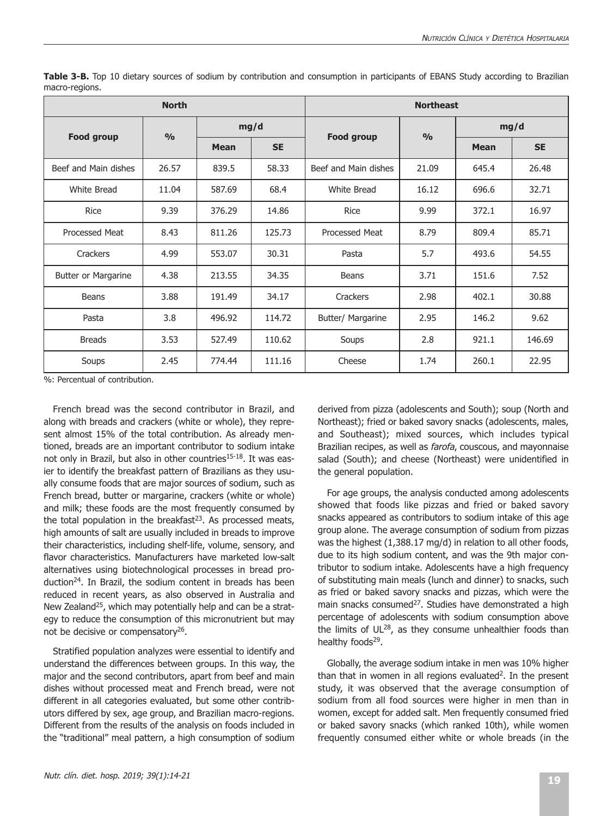|                      | <b>North</b>  |                          |        | <b>Northeast</b>     |               |             |           |  |  |
|----------------------|---------------|--------------------------|--------|----------------------|---------------|-------------|-----------|--|--|
| <b>Food group</b>    | $\frac{0}{0}$ |                          | mg/d   | <b>Food group</b>    | $\frac{0}{0}$ | mg/d        |           |  |  |
|                      |               | <b>SE</b><br><b>Mean</b> |        |                      |               | <b>Mean</b> | <b>SE</b> |  |  |
| Beef and Main dishes | 26.57         | 839.5                    | 58.33  | Beef and Main dishes | 21.09         | 645.4       | 26.48     |  |  |
| White Bread          | 11.04         | 587.69                   | 68.4   | White Bread          | 16.12         | 696.6       | 32.71     |  |  |
| <b>Rice</b>          | 9.39          | 376.29                   | 14.86  | <b>Rice</b>          | 9.99          | 372.1       | 16.97     |  |  |
| Processed Meat       | 8.43          | 811.26                   | 125.73 | Processed Meat       | 8.79          | 809.4       | 85.71     |  |  |
| Crackers             | 4.99          | 553.07                   | 30.31  | Pasta                | 5.7           | 493.6       | 54.55     |  |  |
| Butter or Margarine  | 4.38          | 213.55                   | 34.35  | <b>Beans</b>         | 3.71          | 151.6       | 7.52      |  |  |
| <b>Beans</b>         | 3.88          | 191.49                   | 34.17  | Crackers             | 2.98          | 402.1       | 30.88     |  |  |
| Pasta                | 3.8           | 496.92                   | 114.72 | Butter/ Margarine    | 2.95          | 146.2       | 9.62      |  |  |
| <b>Breads</b>        | 3.53          | 527.49                   | 110.62 | Soups                | 2.8           | 921.1       | 146.69    |  |  |
| Soups                | 2.45          | 774.44                   | 111.16 | Cheese               | 1.74          | 260.1       | 22.95     |  |  |

**Table 3-B.** Top 10 dietary sources of sodium by contribution and consumption in participants of EBANS Study according to Brazilian macro-regions.

%: Percentual of contribution.

French bread was the second contributor in Brazil, and along with breads and crackers (white or whole), they represent almost 15% of the total contribution. As already mentioned, breads are an important contributor to sodium intake not only in Brazil, but also in other countries<sup>15-18</sup>. It was easier to identify the breakfast pattern of Brazilians as they usually consume foods that are major sources of sodium, such as French bread, butter or margarine, crackers (white or whole) and milk; these foods are the most frequently consumed by the total population in the breakfast $2<sup>3</sup>$ . As processed meats, high amounts of salt are usually included in breads to improve their characteristics, including shelf-life, volume, sensory, and flavor characteristics. Manufacturers have marketed low-salt alternatives using biotechnological processes in bread production24. In Brazil, the sodium content in breads has been reduced in recent years, as also observed in Australia and New Zealand<sup>25</sup>, which may potentially help and can be a strategy to reduce the consumption of this micronutrient but may not be decisive or compensatory<sup>26</sup>.

Stratified population analyzes were essential to identify and understand the differences between groups. In this way, the major and the second contributors, apart from beef and main dishes without processed meat and French bread, were not different in all categories evaluated, but some other contributors differed by sex, age group, and Brazilian macro-regions. Different from the results of the analysis on foods included in the "traditional" meal pattern, a high consumption of sodium

derived from pizza (adolescents and South); soup (North and Northeast); fried or baked savory snacks (adolescents, males, and Southeast); mixed sources, which includes typical Brazilian recipes, as well as *farofa*, couscous, and mayonnaise salad (South); and cheese (Northeast) were unidentified in the general population.

For age groups, the analysis conducted among adolescents showed that foods like pizzas and fried or baked savory snacks appeared as contributors to sodium intake of this age group alone. The average consumption of sodium from pizzas was the highest (1,388.17 mg/d) in relation to all other foods, due to its high sodium content, and was the 9th major contributor to sodium intake. Adolescents have a high frequency of substituting main meals (lunch and dinner) to snacks, such as fried or baked savory snacks and pizzas, which were the main snacks consumed<sup>27</sup>. Studies have demonstrated a high percentage of adolescents with sodium consumption above the limits of  $UL^{28}$ , as they consume unhealthier foods than healthy foods<sup>29</sup>.

Globally, the average sodium intake in men was 10% higher than that in women in all regions evaluated<sup>2</sup>. In the present study, it was observed that the average consumption of sodium from all food sources were higher in men than in women, except for added salt. Men frequently consumed fried or baked savory snacks (which ranked 10th), while women frequently consumed either white or whole breads (in the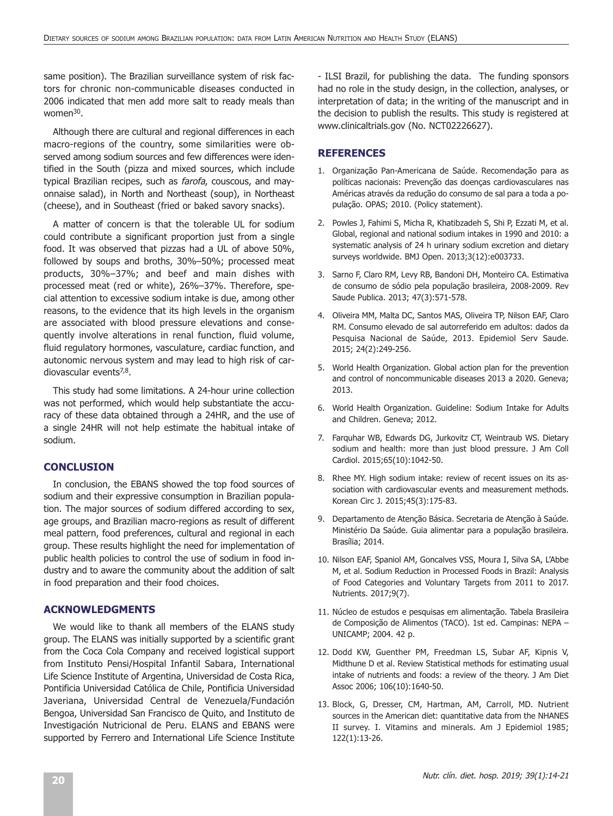same position). The Brazilian surveillance system of risk factors for chronic non-communicable diseases conducted in 2006 indicated that men add more salt to ready meals than women $30$ .

Although there are cultural and regional differences in each macro-regions of the country, some similarities were observed among sodium sources and few differences were identified in the South (pizza and mixed sources, which include typical Brazilian recipes, such as farofa, couscous, and mayonnaise salad), in North and Northeast (soup), in Northeast (cheese), and in Southeast (fried or baked savory snacks).

A matter of concern is that the tolerable UL for sodium could contribute a significant proportion just from a single food. It was observed that pizzas had a UL of above 50%, followed by soups and broths, 30%–50%; processed meat products, 30%–37%; and beef and main dishes with processed meat (red or white), 26%–37%. Therefore, special attention to excessive sodium intake is due, among other reasons, to the evidence that its high levels in the organism are associated with blood pressure elevations and consequently involve alterations in renal function, fluid volume, fluid regulatory hormones, vasculature, cardiac function, and autonomic nervous system and may lead to high risk of cardiovascular events $7,8$ .

This study had some limitations. A 24-hour urine collection was not performed, which would help substantiate the accuracy of these data obtained through a 24HR, and the use of a single 24HR will not help estimate the habitual intake of sodium.

## **CONCLUSION**

In conclusion, the EBANS showed the top food sources of sodium and their expressive consumption in Brazilian population. The major sources of sodium differed according to sex, age groups, and Brazilian macro-regions as result of different meal pattern, food preferences, cultural and regional in each group. These results highlight the need for implementation of public health policies to control the use of sodium in food industry and to aware the community about the addition of salt in food preparation and their food choices.

## **ACKNOWLEDGMENTS**

We would like to thank all members of the ELANS study group. The ELANS was initially supported by a scientific grant from the Coca Cola Company and received logistical support from Instituto Pensi/Hospital Infantil Sabara, International Life Science Institute of Argentina, Universidad de Costa Rica, Pontificia Universidad Católica de Chile, Pontificia Universidad Javeriana, Universidad Central de Venezuela/Fundación Bengoa, Universidad San Francisco de Quito, and Instituto de Investigación Nutricional de Peru. ELANS and EBANS were supported by Ferrero and International Life Science Institute - ILSI Brazil, for publishing the data. The funding sponsors had no role in the study design, in the collection, analyses, or interpretation of data; in the writing of the manuscript and in the decision to publish the results. This study is registered at www.clinicaltrials.gov (No. NCT02226627).

## **REFERENCES**

- 1. Organização Pan-Americana de Saúde. Recomendação para as políticas nacionais: Prevenção das doenças cardiovasculares nas Américas através da redução do consumo de sal para a toda a população. OPAS; 2010. (Policy statement).
- 2. Powles J, Fahimi S, Micha R, Khatibzadeh S, Shi P, Ezzati M, et al. Global, regional and national sodium intakes in 1990 and 2010: a systematic analysis of 24 h urinary sodium excretion and dietary surveys worldwide. BMJ Open. 2013;3(12):e003733.
- 3. Sarno F, Claro RM, Levy RB, Bandoni DH, Monteiro CA. Estimativa de consumo de sódio pela população brasileira, 2008-2009. Rev Saude Publica. 2013; 47(3):571-578.
- 4. Oliveira MM, Malta DC, Santos MAS, Oliveira TP, Nilson EAF, Claro RM. Consumo elevado de sal autorreferido em adultos: dados da Pesquisa Nacional de Saúde, 2013. Epidemiol Serv Saude. 2015; 24(2):249-256.
- 5. World Health Organization. Global action plan for the prevention and control of noncommunicable diseases 2013 a 2020. Geneva; 2013.
- 6. World Health Organization. Guideline: Sodium Intake for Adults and Children. Geneva; 2012.
- 7. Farquhar WB, Edwards DG, Jurkovitz CT, Weintraub WS. Dietary sodium and health: more than just blood pressure. J Am Coll Cardiol. 2015;65(10):1042-50.
- 8. Rhee MY. High sodium intake: review of recent issues on its association with cardiovascular events and measurement methods. Korean Circ J. 2015;45(3):175-83.
- Departamento de Atenção Básica. Secretaria de Atenção à Saúde. Ministério Da Saúde. Guia alimentar para a população brasileira. Brasília; 2014.
- 10. Nilson EAF, Spaniol AM, Goncalves VSS, Moura I, Silva SA, L'Abbe M, et al. Sodium Reduction in Processed Foods in Brazil: Analysis of Food Categories and Voluntary Targets from 2011 to 2017. Nutrients. 2017;9(7).
- 11. Núcleo de estudos e pesquisas em alimentação. Tabela Brasileira de Composição de Alimentos (TACO). 1st ed. Campinas: NEPA – UNICAMP; 2004. 42 p.
- 12. Dodd KW, Guenther PM, Freedman LS, Subar AF, Kipnis V, Midthune D et al. Review Statistical methods for estimating usual intake of nutrients and foods: a review of the theory. J Am Diet Assoc 2006; 106(10):1640-50.
- 13. Block, G, Dresser, CM, Hartman, AM, Carroll, MD. Nutrient sources in the American diet: quantitative data from the NHANES II survey. I. Vitamins and minerals. Am J Epidemiol 1985; 122(1):13-26.